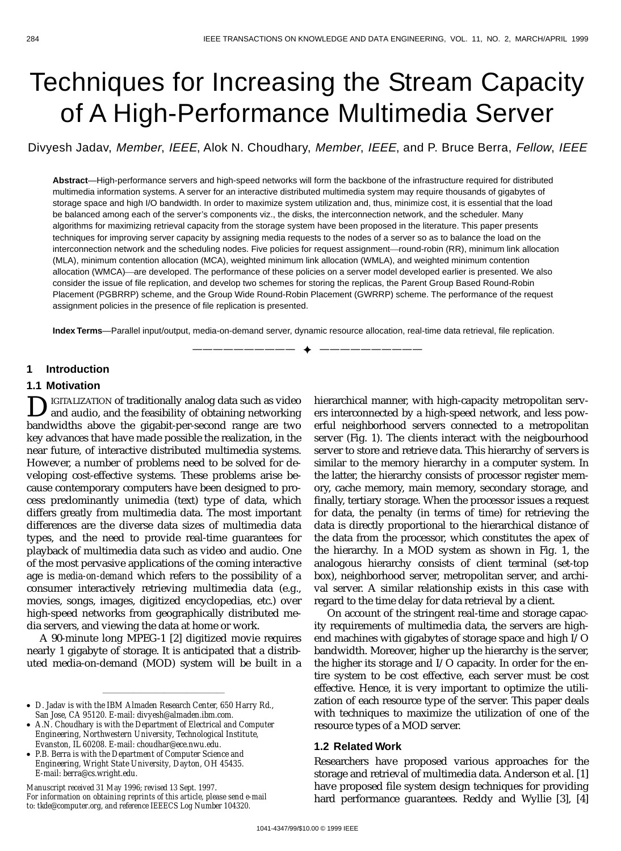# Techniques for Increasing the Stream Capacity of A High-Performance Multimedia Server

Divyesh Jadav, Member, IEEE, Alok N. Choudhary, Member, IEEE, and P. Bruce Berra, Fellow, IEEE

**Abstract**—High-performance servers and high-speed networks will form the backbone of the infrastructure required for distributed multimedia information systems. A server for an interactive distributed multimedia system may require thousands of gigabytes of storage space and high I/O bandwidth. In order to maximize system utilization and, thus, minimize cost, it is essential that the load be balanced among each of the server's components viz., the disks, the interconnection network, and the scheduler. Many algorithms for maximizing retrieval capacity from the storage system have been proposed in the literature. This paper presents techniques for improving server capacity by assigning media requests to the nodes of a server so as to balance the load on the interconnection network and the scheduling nodes. Five policies for request assignment—round-robin (RR), minimum link allocation (MLA), minimum contention allocation (MCA), weighted minimum link allocation (WMLA), and weighted minimum contention allocation (WMCA)—are developed. The performance of these policies on a server model developed earlier is presented. We also consider the issue of file replication, and develop two schemes for storing the replicas, the Parent Group Based Round-Robin Placement (PGBRRP) scheme, and the Group Wide Round-Robin Placement (GWRRP) scheme. The performance of the request assignment policies in the presence of file replication is presented.

**Index Terms**—Parallel input/output, media-on-demand server, dynamic resource allocation, real-time data retrieval, file replication. ——————————F——————————

## **1 Introduction**

# **1.1 Motivation**

IGITALIZATION of traditionally analog data such as video and audio, and the feasibility of obtaining networking **b** IGITALIZATION of traditionally analog data such as video and audio, and the feasibility of obtaining networking bandwidths above the gigabit-per-second range are two key advances that have made possible the realization, in the near future, of interactive distributed multimedia systems. However, a number of problems need to be solved for developing cost-effective systems. These problems arise because contemporary computers have been designed to process predominantly unimedia (text) type of data, which differs greatly from multimedia data. The most important differences are the diverse data sizes of multimedia data types, and the need to provide real-time guarantees for playback of multimedia data such as video and audio. One of the most pervasive applications of the coming interactive age is *media-on-demand* which refers to the possibility of a consumer interactively retrieving multimedia data (e.g., movies, songs, images, digitized encyclopedias, etc.) over high-speed networks from geographically distributed media servers, and viewing the data at home or work.

A 90-minute long MPEG-1 [2] digitized movie requires nearly 1 gigabyte of storage. It is anticipated that a distributed media-on-demand (MOD) system will be built in a

²²²²²²²²²²²²²²²²

*Manuscript received 31 May 1996; revised 13 Sept. 1997*. *For information on obtaining reprints of this article, please send e-mail to: tkde@computer.org, and reference IEEECS Log Number 104320.*

hierarchical manner, with high-capacity metropolitan servers interconnected by a high-speed network, and less powerful neighborhood servers connected to a metropolitan server (Fig. 1). The clients interact with the neigbourhood server to store and retrieve data. This hierarchy of servers is similar to the memory hierarchy in a computer system. In the latter, the hierarchy consists of processor register memory, cache memory, main memory, secondary storage, and finally, tertiary storage. When the processor issues a request for data, the penalty (in terms of time) for retrieving the data is directly proportional to the hierarchical distance of the data from the processor, which constitutes the apex of the hierarchy. In a MOD system as shown in Fig. 1, the analogous hierarchy consists of client terminal (set-top box), neighborhood server, metropolitan server, and archival server. A similar relationship exists in this case with regard to the time delay for data retrieval by a client.

On account of the stringent real-time and storage capacity requirements of multimedia data, the servers are highend machines with gigabytes of storage space and high I/O bandwidth. Moreover, higher up the hierarchy is the server, the higher its storage and I/O capacity. In order for the entire system to be cost effective, each server must be cost effective. Hence, it is very important to optimize the utilization of each resource type of the server. This paper deals with techniques to maximize the utilization of one of the resource types of a MOD server.

# **1.2 Related Work**

Researchers have proposed various approaches for the storage and retrieval of multimedia data. Anderson et al. [1] have proposed file system design techniques for providing hard performance guarantees. Reddy and Wyllie [3], [4]

*D. Jadav is with the IBM Almaden Research Center, 650 Harry Rd., San Jose, CA 95120. E-mail: divyesh@almaden.ibm.com.*

*A.N. Choudhary is with the Department of Electrical and Computer Engineering, Northwestern University, Technological Institute, Evanston, IL 60208. E-mail: choudhar@ece.nwu.edu.*

*P.B. Berra is with the Department of Computer Science and Engineering, Wright State University, Dayton, OH 45435. E-mail: berra@cs.wright.edu.*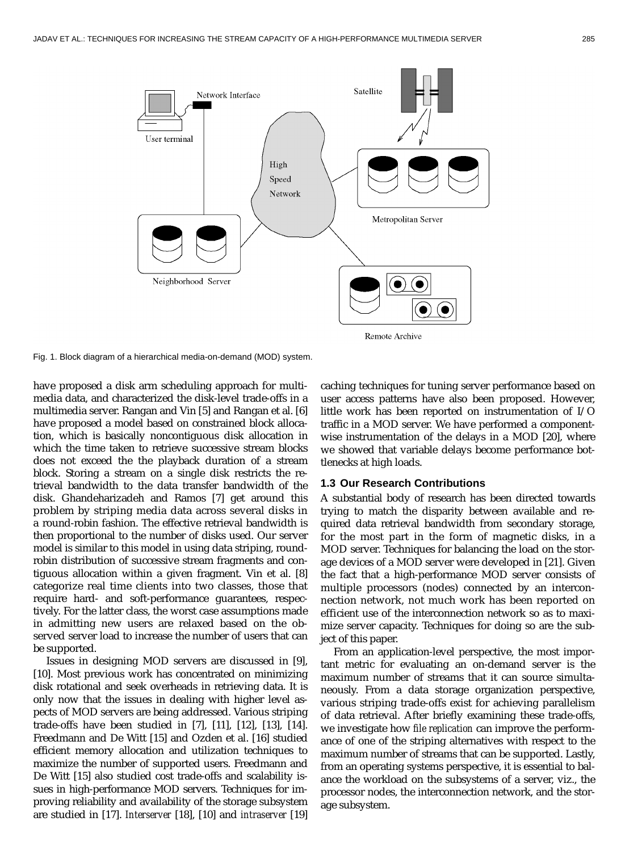

Remote Archive

Fig. 1. Block diagram of a hierarchical media-on-demand (MOD) system.

have proposed a disk arm scheduling approach for multimedia data, and characterized the disk-level trade-offs in a multimedia server. Rangan and Vin [5] and Rangan et al. [6] have proposed a model based on constrained block allocation, which is basically noncontiguous disk allocation in which the time taken to retrieve successive stream blocks does not exceed the the playback duration of a stream block. Storing a stream on a single disk restricts the retrieval bandwidth to the data transfer bandwidth of the disk. Ghandeharizadeh and Ramos [7] get around this problem by striping media data across several disks in a round-robin fashion. The effective retrieval bandwidth is then proportional to the number of disks used. Our server model is similar to this model in using data striping, roundrobin distribution of successive stream fragments and contiguous allocation within a given fragment. Vin et al. [8] categorize real time clients into two classes, those that require hard- and soft-performance guarantees, respectively. For the latter class, the worst case assumptions made in admitting new users are relaxed based on the observed server load to increase the number of users that can be supported.

Issues in designing MOD servers are discussed in [9], [10]. Most previous work has concentrated on minimizing disk rotational and seek overheads in retrieving data. It is only now that the issues in dealing with higher level aspects of MOD servers are being addressed. Various striping trade-offs have been studied in [7], [11], [12], [13], [14]. Freedmann and De Witt [15] and Ozden et al. [16] studied efficient memory allocation and utilization techniques to maximize the number of supported users. Freedmann and De Witt [15] also studied cost trade-offs and scalability issues in high-performance MOD servers. Techniques for improving reliability and availability of the storage subsystem are studied in [17]. *Interserver* [18], [10] and *intraserver* [19] caching techniques for tuning server performance based on user access patterns have also been proposed. However, little work has been reported on instrumentation of I/O traffic in a MOD server. We have performed a componentwise instrumentation of the delays in a MOD [20], where we showed that variable delays become performance bottlenecks at high loads.

# **1.3 Our Research Contributions**

A substantial body of research has been directed towards trying to match the disparity between available and required data retrieval bandwidth from secondary storage, for the most part in the form of magnetic disks, in a MOD server. Techniques for balancing the load on the storage devices of a MOD server were developed in [21]. Given the fact that a high-performance MOD server consists of multiple processors (nodes) connected by an interconnection network, not much work has been reported on efficient use of the interconnection network so as to maximize server capacity. Techniques for doing so are the subject of this paper.

From an application-level perspective, the most important metric for evaluating an on-demand server is the maximum number of streams that it can source simultaneously. From a data storage organization perspective, various striping trade-offs exist for achieving parallelism of data retrieval. After briefly examining these trade-offs, we investigate how *file replication* can improve the performance of one of the striping alternatives with respect to the maximum number of streams that can be supported. Lastly, from an operating systems perspective, it is essential to balance the workload on the subsystems of a server, viz., the processor nodes, the interconnection network, and the storage subsystem.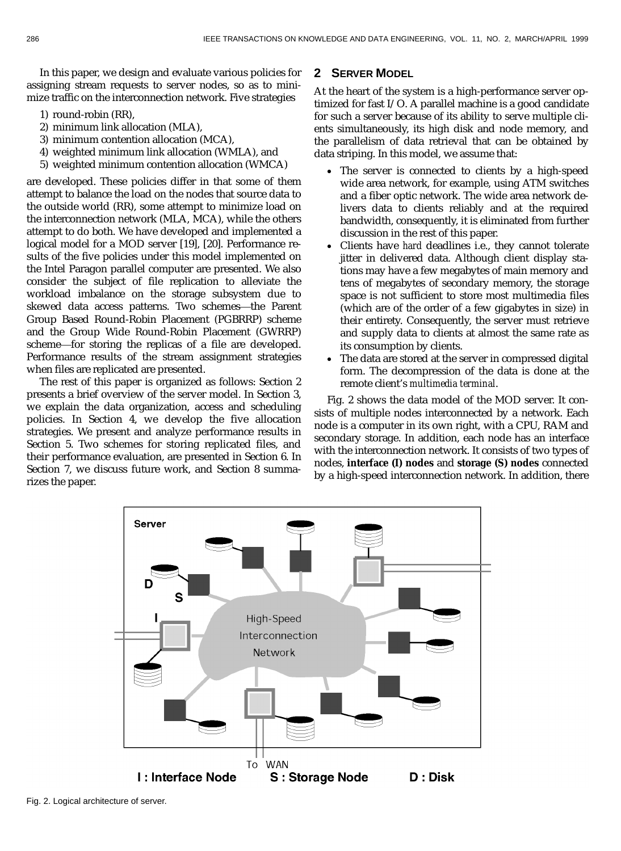In this paper, we design and evaluate various policies for assigning stream requests to server nodes, so as to minimize traffic on the interconnection network. Five strategies

- 1) round-robin (RR),
- 2) minimum link allocation (MLA),
- 3) minimum contention allocation (MCA),
- 4) weighted minimum link allocation (WMLA), and
- 5) weighted minimum contention allocation (WMCA)

are developed. These policies differ in that some of them attempt to balance the load on the nodes that source data to the outside world (RR), some attempt to minimize load on the interconnection network (MLA, MCA), while the others attempt to do both. We have developed and implemented a logical model for a MOD server [19], [20]. Performance results of the five policies under this model implemented on the Intel Paragon parallel computer are presented. We also consider the subject of file replication to alleviate the workload imbalance on the storage subsystem due to skewed data access patterns. Two schemes—the Parent Group Based Round-Robin Placement (PGBRRP) scheme and the Group Wide Round-Robin Placement (GWRRP) scheme—for storing the replicas of a file are developed. Performance results of the stream assignment strategies when files are replicated are presented.

The rest of this paper is organized as follows: Section 2 presents a brief overview of the server model. In Section 3, we explain the data organization, access and scheduling policies. In Section 4, we develop the five allocation strategies. We present and analyze performance results in Section 5. Two schemes for storing replicated files, and their performance evaluation, are presented in Section 6. In Section 7, we discuss future work, and Section 8 summarizes the paper.

# **2 SERVER MODEL**

At the heart of the system is a high-performance server optimized for fast I/O. A parallel machine is a good candidate for such a server because of its ability to serve multiple clients simultaneously, its high disk and node memory, and the parallelism of data retrieval that can be obtained by data striping. In this model, we assume that:

- The server is connected to clients by a high-speed wide area network, for example, using ATM switches and a fiber optic network. The wide area network delivers data to clients reliably and at the required bandwidth, consequently, it is eliminated from further discussion in the rest of this paper.
- Clients have *hard* deadlines i.e., they cannot tolerate jitter in delivered data. Although client display stations may have a few megabytes of main memory and tens of megabytes of secondary memory, the storage space is not sufficient to store most multimedia files (which are of the order of a few gigabytes in size) in their entirety. Consequently, the server must retrieve and supply data to clients at almost the same rate as its consumption by clients.
- The data are stored at the server in compressed digital form. The decompression of the data is done at the remote client's *multimedia terminal*.

Fig. 2 shows the data model of the MOD server. It consists of multiple nodes interconnected by a network. Each node is a computer in its own right, with a CPU, RAM and secondary storage. In addition, each node has an interface with the interconnection network. It consists of two types of nodes, **interface (I) nodes** and **storage (S) nodes** connected by a high-speed interconnection network. In addition, there

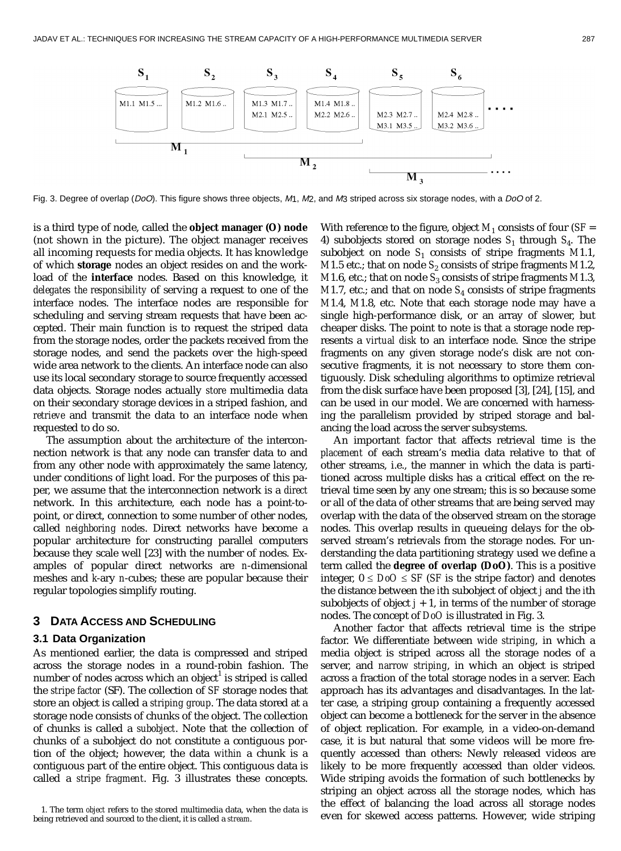

Fig. 3. Degree of overlap (DoO). This figure shows three objects, M1, M2, and M3 striped across six storage nodes, with a DoO of 2.

is a third type of node, called the **object manager (O) node** (not shown in the picture). The object manager receives all incoming requests for media objects. It has knowledge of which **storage** nodes an object resides on and the workload of the **interface** nodes. Based on this knowledge, it *delegates the responsibility* of serving a request to one of the interface nodes. The interface nodes are responsible for scheduling and serving stream requests that have been accepted. Their main function is to request the striped data from the storage nodes, order the packets received from the storage nodes, and send the packets over the high-speed wide area network to the clients. An interface node can also use its local secondary storage to source frequently accessed data objects. Storage nodes actually *store* multimedia data on their secondary storage devices in a striped fashion, and *retrieve* and transmit the data to an interface node when requested to do so.

The assumption about the architecture of the interconnection network is that any node can transfer data to and from any other node with approximately the same latency, under conditions of light load. For the purposes of this paper, we assume that the interconnection network is a *direct* network. In this architecture, each node has a point-topoint, or direct, connection to some number of other nodes, called *neighboring nodes*. Direct networks have become a popular architecture for constructing parallel computers because they scale well [23] with the number of nodes. Examples of popular direct networks are *n*-dimensional meshes and *k*-ary *n*-cubes; these are popular because their regular topologies simplify routing.

# **3 DATA ACCESS AND SCHEDULING**

## **3.1 Data Organization**

As mentioned earlier, the data is compressed and striped across the storage nodes in a round-robin fashion. The number of nodes across which an object $^{\rm l}$  is striped is called the *stripe factor* (SF). The collection of *SF* storage nodes that store an object is called a *striping group*. The data stored at a storage node consists of chunks of the object. The collection of chunks is called a *subobject*. Note that the collection of chunks of a subobject do not constitute a contiguous portion of the object; however, the data *within* a chunk is a contiguous part of the entire object. This contiguous data is called a *stripe fragment*. Fig. 3 illustrates these concepts.

1. The term *object* refers to the stored multimedia data, when the data is being retrieved and sourced to the client, it is called a *stream*.

With reference to the figure, object  $M_1$  consists of four  $(SF =$ 4) subobjects stored on storage nodes *S*1 through *S*4. The subobject on node  $S_1$  consists of stripe fragments  $M1.1$ , *M*1.5 etc.; that on node  $S_2$  consists of stripe fragments *M*1.2, *M*1.6, etc.; that on node  $S_3$  consists of stripe fragments *M*1.3,  $M1.7$ , etc.; and that on node  $S_4$  consists of stripe fragments *M*1.4, *M*1.8, etc. Note that each storage node may have a single high-performance disk, or an array of slower, but cheaper disks. The point to note is that a storage node represents a *virtual disk* to an interface node. Since the stripe fragments on any given storage node's disk are not consecutive fragments, it is not necessary to store them contiguously. Disk scheduling algorithms to optimize retrieval from the disk surface have been proposed [3], [24], [15], and can be used in our model. We are concerned with harnessing the parallelism provided by striped storage and balancing the load across the server subsystems.

An important factor that affects retrieval time is the *placement* of each stream's media data relative to that of other streams, i.e., the manner in which the data is partitioned across multiple disks has a critical effect on the retrieval time seen by any one stream; this is so because some or all of the data of other streams that are being served may overlap with the data of the observed stream on the storage nodes. This overlap results in queueing delays for the observed stream's retrievals from the storage nodes. For understanding the data partitioning strategy used we define a term called the **degree of overlap (DoO)**. This is a positive integer,  $0 \leq DoO \leq SF$  (*SF* is the stripe factor) and denotes the distance between the *i*th subobject of object *j* and the *i*th subobjects of object *j* + 1, in terms of the number of storage nodes. The concept of *DoO* is illustrated in Fig. 3.

Another factor that affects retrieval time is the stripe factor. We differentiate between *wide striping*, in which a media object is striped across all the storage nodes of a server, and *narrow striping*, in which an object is striped across a fraction of the total storage nodes in a server. Each approach has its advantages and disadvantages. In the latter case, a striping group containing a frequently accessed object can become a bottleneck for the server in the absence of object replication. For example, in a video-on-demand case, it is but natural that some videos will be more frequently accessed than others: Newly released videos are likely to be more frequently accessed than older videos. Wide striping avoids the formation of such bottlenecks by striping an object across all the storage nodes, which has the effect of balancing the load across all storage nodes even for skewed access patterns. However, wide striping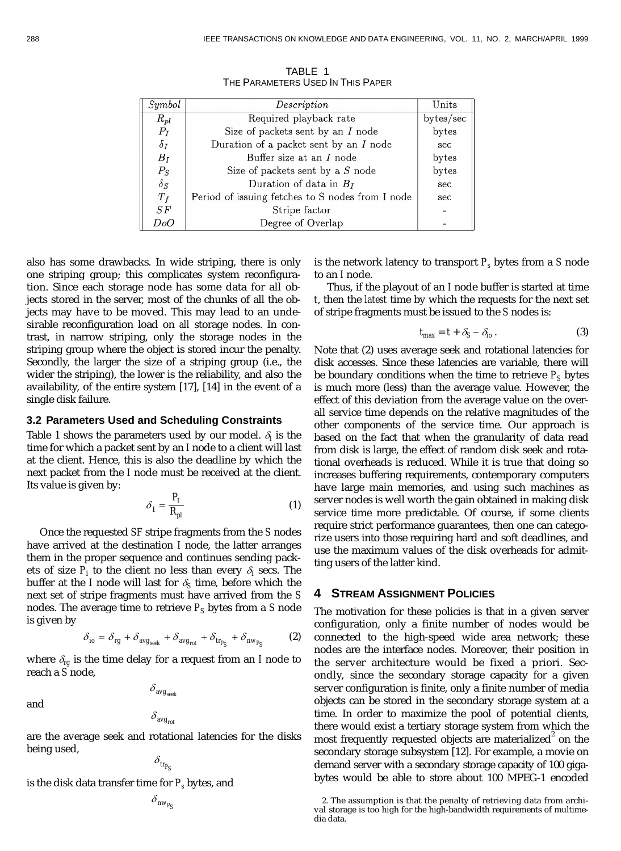| Symbol     | Description                                      | Units     |
|------------|--------------------------------------------------|-----------|
| $R_{pl}$   | Required playback rate                           | bytes/sec |
| $P_I$      | Size of packets sent by an $I$ node              | bytes     |
| $\delta_I$ | Duration of a packet sent by an $I$ node         | sec       |
| $B_I$      | Buffer size at an $I$ node                       | bytes     |
| $P_S$      | Size of packets sent by a $S$ node               | bytes     |
| $\delta_S$ | Duration of data in $B_I$                        | sec       |
| $T_f$      | Period of issuing fetches to S nodes from I node | sec       |
| SF         | Stripe factor                                    |           |
| DoO        | Degree of Overlap                                |           |

TABLE 1 THE PARAMETERS USED IN THIS PAPER

also has some drawbacks. In wide striping, there is only one striping group; this complicates system reconfiguration. Since each storage node has some data for all objects stored in the server, most of the chunks of all the objects may have to be moved. This may lead to an undesirable reconfiguration load on *all* storage nodes. In contrast, in narrow striping, only the storage nodes in the striping group where the object is stored incur the penalty. Secondly, the larger the size of a striping group (i.e., the wider the striping), the lower is the reliability, and also the availability, of the entire system [17], [14] in the event of a single disk failure.

#### **3.2 Parameters Used and Scheduling Constraints**

Table 1 shows the parameters used by our model.  $\delta_I$  is the time for which a packet sent by an *I* node to a client will last at the client. Hence, this is also the deadline by which the next packet from the *I* node must be received at the client. Its value is given by:

$$
\delta_{\rm I} = \frac{P_{\rm I}}{R_{\rm pl}}\tag{1}
$$

Once the requested *SF* stripe fragments from the *S* nodes have arrived at the destination *I* node, the latter arranges them in the proper sequence and continues sending packets of size  $P_I$  to the client no less than every  $\delta_I$  secs. The buffer at the *I* node will last for  $\delta_S$  time, before which the next set of stripe fragments must have arrived from the *S* nodes. The average time to retrieve  $P_S$  bytes from a  $S$  node is given by

$$
\delta_{io} = \delta_{rg} + \delta_{avg_{seek}} + \delta_{avg_{rot}} + \delta_{tr_{P_S}} + \delta_{nw_{P_S}}
$$
 (2)

where  $\delta_{rg}$  is the time delay for a request from an *I* node to reach a *S* node,

and

$$
\delta_{\textit{avg}_{\textit{rot}}}
$$

 $\delta_{\textit{avg}_\textit{seek}}$ 

are the average seek and rotational latencies for the disks being used,

$$
\delta_{tr_{P_{\varsigma}}}
$$

is the disk data transfer time for  $P_s$  bytes, and

$$
\delta_{\textit{nw}_{P_S}}
$$

is the network latency to transport *Ps* bytes from a *S* node to an *I* node.

Thus, if the playout of an *I* node buffer is started at time *t*, then the *latest* time by which the requests for the next set of stripe fragments must be issued to the *S* nodes is:

$$
t_{\text{max}} = t + \delta_{\text{S}} - \delta_{\text{io}} \,. \tag{3}
$$

Note that (2) uses average seek and rotational latencies for disk accesses. Since these latencies are variable, there will be boundary conditions when the time to retrieve  $P<sub>S</sub>$  bytes is much more (less) than the average value. However, the effect of this deviation from the average value on the overall service time depends on the relative magnitudes of the other components of the service time. Our approach is based on the fact that when the granularity of data read from disk is large, the effect of random disk seek and rotational overheads is reduced. While it is true that doing so increases buffering requirements, contemporary computers have large main memories, and using such machines as server nodes is well worth the gain obtained in making disk service time more predictable. Of course, if some clients require strict performance guarantees, then one can categorize users into those requiring hard and soft deadlines, and use the maximum values of the disk overheads for admitting users of the latter kind.

# **4 STREAM ASSIGNMENT POLICIES**

The motivation for these policies is that in a given server configuration, only a finite number of nodes would be connected to the high-speed wide area network; these nodes are the interface nodes. Moreover, their position in the server architecture would be fixed a priori. Secondly, since the secondary storage capacity for a given server configuration is finite, only a finite number of media objects can be stored in the secondary storage system at a time. In order to maximize the pool of potential clients, there would exist a tertiary storage system from which the most frequently requested objects are materialized $^2$  on the secondary storage subsystem [12]. For example, a movie on demand server with a secondary storage capacity of 100 gigabytes would be able to store about 100 MPEG-1 encoded

<sup>2.</sup> The assumption is that the penalty of retrieving data from archival storage is too high for the high-bandwidth requirements of multimedia data.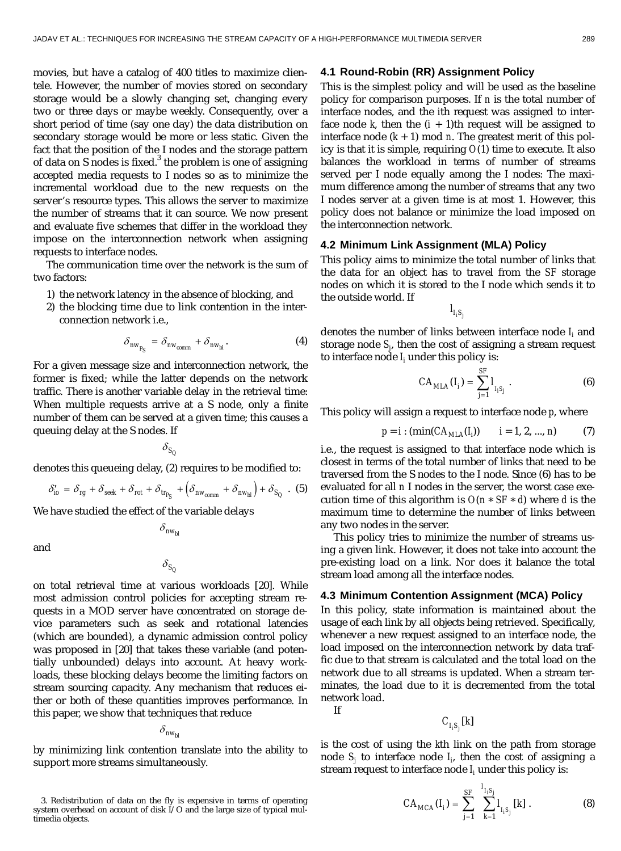movies, but have a catalog of 400 titles to maximize clientele. However, the number of movies stored on secondary storage would be a slowly changing set, changing every two or three days or maybe weekly. Consequently, over a short period of time (say one day) the data distribution on secondary storage would be more or less static. Given the fact that the position of the I nodes and the storage pattern of data on S nodes is fixed.<sup>3</sup> the problem is one of assigning accepted media requests to I nodes so as to minimize the incremental workload due to the new requests on the server's resource types. This allows the server to maximize the number of streams that it can source. We now present and evaluate five schemes that differ in the workload they impose on the interconnection network when assigning requests to interface nodes.

The communication time over the network is the sum of two factors:

- 1) the network latency in the absence of blocking, and
- 2) the blocking time due to link contention in the interconnection network i.e.,

$$
\delta_{n w_{P_S}} = \delta_{n w_{comm}} + \delta_{n w_{bl}}.
$$
\n(4)

For a given message size and interconnection network, the former is fixed; while the latter depends on the network traffic. There is another variable delay in the retrieval time: When multiple requests arrive at a S node, only a finite number of them can be served at a given time; this causes a queuing delay at the S nodes. If

$$
\delta_{\mathit{S_Q}}
$$

denotes this queueing delay, (2) requires to be modified to:

$$
\delta'_{io} = \delta_{rg} + \delta_{seek} + \delta_{rot} + \delta_{tr_{P_S}} + (\delta_{nw_{comm}} + \delta_{nw_{bl}}) + \delta_{S_Q} .
$$
 (5)

We have studied the effect of the variable delays

and

 $\delta_{S_Q}$ 

 $\delta_{\scriptscriptstyle{BWu}}$ 

on total retrieval time at various workloads [20]. While most admission control policies for accepting stream requests in a MOD server have concentrated on storage device parameters such as seek and rotational latencies (which are bounded), a dynamic admission control policy was proposed in [20] that takes these variable (and potentially unbounded) delays into account. At heavy workloads, these blocking delays become the limiting factors on stream sourcing capacity. Any mechanism that reduces either or both of these quantities improves performance. In this paper, we show that techniques that reduce

# $\delta_{\textit{nwh}}$

by minimizing link contention translate into the ability to support more streams simultaneously.

# **4.1 Round-Robin (RR) Assignment Policy**

This is the simplest policy and will be used as the baseline policy for comparison purposes. If *n* is the total number of interface nodes, and the *i*th request was assigned to interface node  $k$ , then the  $(i + 1)$ th request will be assigned to interface node  $(k + 1)$  mod *n*. The greatest merit of this policy is that it is simple, requiring *O*(1) time to execute. It also balances the workload in terms of number of streams served per I node equally among the I nodes: The maximum difference among the number of streams that any two I nodes server at a given time is at most 1. However, this policy does not balance or minimize the load imposed on the interconnection network.

# **4.2 Minimum Link Assignment (MLA) Policy**

This policy aims to minimize the total number of links that the data for an object has to travel from the *SF* storage nodes on which it is stored to the I node which sends it to the outside world. If

> *l I Si j*

denotes the number of links between interface node *Ii* and storage node *Sj* , then the cost of assigning a stream request to interface node  $I_i$  under this policy is:

$$
CA_{MLA}(I_i) = \sum_{j=1}^{SF} I_{I_i S_j}.
$$
 (6)

This policy will assign a request to interface node *p*, where

$$
p = i : (min(CA_{MLA}(I_i)) \qquad i = 1, 2, ..., n)
$$
 (7)

i.e., the request is assigned to that interface node which is closest in terms of the total number of links that need to be traversed from the S nodes to the I node. Since (6) has to be evaluated for all *n* I nodes in the server, the worst case execution time of this algorithm is  $O(n * SF * d)$  where *d* is the maximum time to determine the number of links between any two nodes in the server.

This policy tries to minimize the number of streams using a given link. However, it does not take into account the pre-existing load on a link. Nor does it balance the total stream load among all the interface nodes.

#### **4.3 Minimum Contention Assignment (MCA) Policy**

In this policy, state information is maintained about the usage of each link by all objects being retrieved. Specifically, whenever a new request assigned to an interface node, the load imposed on the interconnection network by data traffic due to that stream is calculated and the total load on the network due to all streams is updated. When a stream terminates, the load due to it is decremented from the total network load. If

 $C_{I.S.}$ [ $k$ ]

is the cost of using the *k*th link on the path from storage node  $S_j$  to interface node  $I_{i\!\scriptscriptstyle{P}}$  then the cost of assigning a stream request to interface node *Ii* under this policy is:

$$
CA_{MCA}(I_i) = \sum_{j=1}^{SF} \sum_{k=1}^{I_{ISj}} l_{I_i S_j} [k]. \qquad (8)
$$

<sup>3.</sup> Redistribution of data on the fly is expensive in terms of operating system overhead on account of disk I/O and the large size of typical multimedia objects.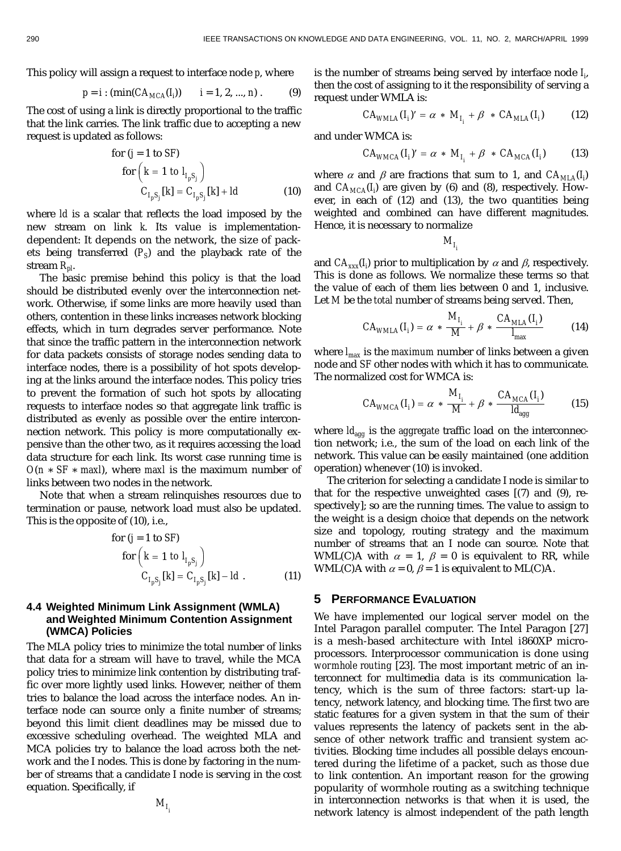This policy will assign a request to interface node *p*, where

$$
p = i : (min(CA_{MCA}(I_i)) \qquad i = 1, 2, ..., n) . \qquad (9)
$$

The cost of using a link is directly proportional to the traffic that the link carries. The link traffic due to accepting a new request is updated as follows:

for 
$$
(j = 1 \text{ to } SF)
$$
  
\nfor  $(k = 1 \text{ to } l_{I_pS_j})$   
\n $C_{I_pS_j}[k] = C_{I_pS_j}[k] + ld$  (10)

where *ld* is a scalar that reflects the load imposed by the new stream on link *k*. Its value is implementationdependent: It depends on the network, the size of packets being transferred  $(P<sub>S</sub>)$  and the playback rate of the stream *Rpl*.

The basic premise behind this policy is that the load should be distributed evenly over the interconnection network. Otherwise, if some links are more heavily used than others, contention in these links increases network blocking effects, which in turn degrades server performance. Note that since the traffic pattern in the interconnection network for data packets consists of storage nodes sending data to interface nodes, there is a possibility of hot spots developing at the links around the interface nodes. This policy tries to prevent the formation of such hot spots by allocating requests to interface nodes so that aggregate link traffic is distributed as evenly as possible over the entire interconnection network. This policy is more computationally expensive than the other two, as it requires accessing the load data structure for each link. Its worst case running time is *O*(*n* \* *SF* \* *maxl*), where *maxl* is the maximum number of links between two nodes in the network.

Note that when a stream relinquishes resources due to termination or pause, network load must also be updated. This is the opposite of (10), i.e.,

for 
$$
(j = 1 \text{ to } SF)
$$
  
\nfor  $(k = 1 \text{ to } l_{I_pS_j})$   
\n $C_{I_pS_j}[k] = C_{I_pS_j}[k] - ld$  (11)

# **4.4 Weighted Minimum Link Assignment (WMLA) and Weighted Minimum Contention Assignment (WMCA) Policies**

The MLA policy tries to minimize the total number of links that data for a stream will have to travel, while the MCA policy tries to minimize link contention by distributing traffic over more lightly used links. However, neither of them tries to balance the load across the interface nodes. An interface node can source only a finite number of streams; beyond this limit client deadlines may be missed due to excessive scheduling overhead. The weighted MLA and MCA policies try to balance the load across both the network and the I nodes. This is done by factoring in the number of streams that a candidate I node is serving in the cost equation. Specifically, if

is the number of streams being served by interface node *Ii* , then the cost of assigning to it the responsibility of serving a request under WMLA is:

$$
CA_{WMLA}(I_i)' = \alpha * M_{I_i} + \beta * CA_{MLA}(I_i)
$$
 (12)

and under WMCA is:

$$
CA_{WMCA}(I_i)' = \alpha \ast M_{I_i} + \beta \ast CA_{MCA}(I_i)
$$
 (13)

where  $\alpha$  and  $\beta$  are fractions that sum to 1, and  $CA_{MLA}(I_i)$ and  $CA_{MCA}(I)$  are given by (6) and (8), respectively. However, in each of (12) and (13), the two quantities being weighted and combined can have different magnitudes. Hence, it is necessary to normalize

$$
M_{I_i}
$$

and  $CA_{xxx}(I_j)$  prior to multiplication by  $\alpha$  and  $\beta$ , respectively. This is done as follows. We normalize these terms so that the value of each of them lies between 0 and 1, inclusive. Let *M* be the *total* number of streams being served. Then,

$$
CA_{WMLA}(I_i) = \alpha * \frac{M_{I_i}}{M} + \beta * \frac{CA_{MLA}(I_i)}{I_{max}}
$$
(14)

where *lmax* is the *maximum* number of links between a given node and *SF* other nodes with which it has to communicate. The normalized cost for WMCA is:

$$
CA_{WMCA}(I_i) = \alpha * \frac{M_{I_i}}{M} + \beta * \frac{CA_{MCA}(I_i)}{Id_{agg}}
$$
(15)

where *ld<sub>agg</sub>* is the *aggregate* traffic load on the interconnection network; i.e., the sum of the load on each link of the network. This value can be easily maintained (one addition operation) whenever (10) is invoked.

The criterion for selecting a candidate I node is similar to that for the respective unweighted cases  $(7)$  and  $(9)$ , respectively]; so are the running times. The value to assign to the weight is a design choice that depends on the network size and topology, routing strategy and the maximum number of streams that an I node can source. Note that WML(C)A with  $\alpha = 1$ ,  $\beta = 0$  is equivalent to RR, while WML(C)A with  $\alpha = 0$ ,  $\beta = 1$  is equivalent to ML(C)A.

# **5 PERFORMANCE EVALUATION**

We have implemented our logical server model on the Intel Paragon parallel computer. The Intel Paragon [27] is a mesh-based architecture with Intel i860XP microprocessors. Interprocessor communication is done using *wormhole routing* [23]. The most important metric of an interconnect for multimedia data is its communication latency, which is the sum of three factors: start-up latency, network latency, and blocking time. The first two are static features for a given system in that the sum of their values represents the latency of packets sent in the absence of other network traffic and transient system activities. Blocking time includes all possible delays encountered during the lifetime of a packet, such as those due to link contention. An important reason for the growing popularity of wormhole routing as a switching technique in interconnection networks is that when it is used, the network latency is almost independent of the path length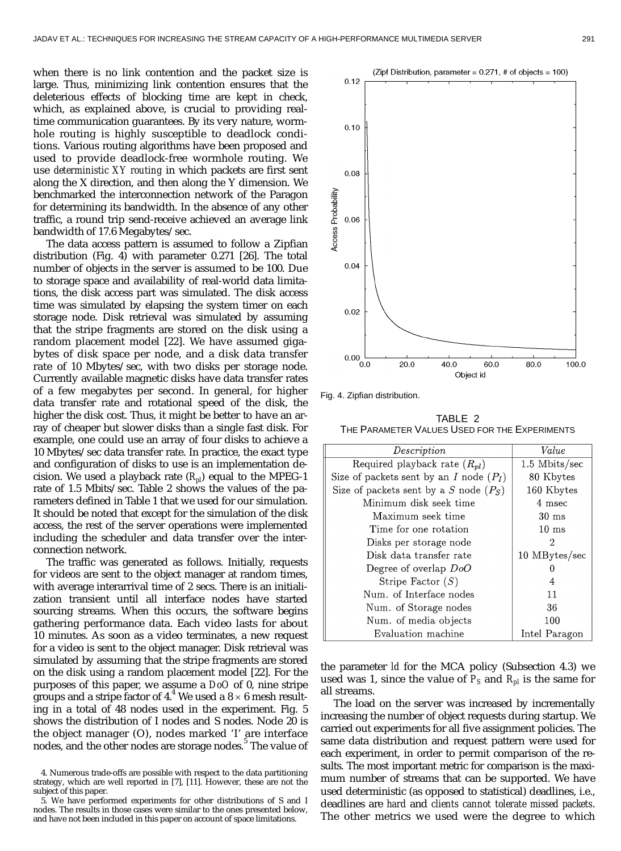when there is no link contention and the packet size is large. Thus, minimizing link contention ensures that the deleterious effects of blocking time are kept in check, which, as explained above, is crucial to providing realtime communication guarantees. By its very nature, wormhole routing is highly susceptible to deadlock conditions. Various routing algorithms have been proposed and used to provide deadlock-free wormhole routing. We use *deterministic XY routing* in which packets are first sent along the X direction, and then along the Y dimension. We benchmarked the interconnection network of the Paragon for determining its bandwidth. In the absence of any other traffic, a round trip send-receive achieved an average link bandwidth of 17.6 Megabytes/sec.

The data access pattern is assumed to follow a Zipfian distribution (Fig. 4) with parameter 0.271 [26]. The total number of objects in the server is assumed to be 100. Due to storage space and availability of real-world data limitations, the disk access part was simulated. The disk access time was simulated by elapsing the system timer on each storage node. Disk retrieval was simulated by assuming that the stripe fragments are stored on the disk using a random placement model [22]. We have assumed gigabytes of disk space per node, and a disk data transfer rate of 10 Mbytes/sec, with two disks per storage node. Currently available magnetic disks have data transfer rates of a few megabytes per second. In general, for higher data transfer rate and rotational speed of the disk, the higher the disk cost. Thus, it might be better to have an array of cheaper but slower disks than a single fast disk. For example, one could use an array of four disks to achieve a 10 Mbytes/sec data transfer rate. In practice, the exact type and configuration of disks to use is an implementation decision. We used a playback rate  $(R_{pl})$  equal to the MPEG-1 rate of 1.5 Mbits/sec. Table 2 shows the values of the parameters defined in Table 1 that we used for our simulation. It should be noted that except for the simulation of the disk access, the rest of the server operations were implemented including the scheduler and data transfer over the interconnection network.

The traffic was generated as follows. Initially, requests for videos are sent to the object manager at random times, with average interarrival time of 2 secs. There is an initialization transient until all interface nodes have started sourcing streams. When this occurs, the software begins gathering performance data. Each video lasts for about 10 minutes. As soon as a video terminates, a new request for a video is sent to the object manager. Disk retrieval was simulated by assuming that the stripe fragments are stored on the disk using a random placement model [22]. For the purposes of this paper, we assume a *DoO* of 0, nine stripe<br>groups and a stripe factor of 4.<sup>4</sup> We used a 8 × 6 mesh resulting in a total of 48 nodes used in the experiment. Fig. 5 shows the distribution of I nodes and S nodes. Node 20 is the object manager (O), nodes marked 'I' are interface nodes, and the other nodes are storage nodes.<sup>5</sup> The value of



Fig. 4. Zipfian distribution.

TABLE 2 THE PARAMETER VALUES USED FOR THE EXPERIMENTS

| Description                               | Value           |
|-------------------------------------------|-----------------|
| Required playback rate $(R_{pl})$         | 1.5 Mbits/sec   |
| Size of packets sent by an I node $(P_I)$ | 80 Kbytes       |
| Size of packets sent by a S node $(P_S)$  | 160 Kbytes      |
| Minimum disk seek time                    | 4 msec          |
| Maximum seek time                         | $30 \text{ ms}$ |
| Time for one rotation                     | $10 \text{ ms}$ |
| Disks per storage node                    | 2               |
| Disk data transfer rate                   | 10 MBytes/sec   |
| Degree of overlap $DoO$                   |                 |
| Stripe Factor $(S)$                       | 4               |
| Num. of Interface nodes                   | 11              |
| Num. of Storage nodes                     | 36              |
| Num. of media objects                     | 100             |
| Evaluation machine                        | Intel Paragon   |

the parameter *ld* for the MCA policy (Subsection 4.3) we used was 1, since the value of  $P_S$  and  $R_{pl}$  is the same for all streams.

The load on the server was increased by incrementally increasing the number of object requests during startup. We carried out experiments for all five assignment policies. The same data distribution and request pattern were used for each experiment, in order to permit comparison of the results. The most important metric for comparison is the maximum number of streams that can be supported. We have used deterministic (as opposed to statistical) deadlines, i.e., deadlines are *hard* and *clients cannot tolerate missed packets*. The other metrics we used were the degree to which

<sup>4.</sup> Numerous trade-offs are possible with respect to the data partitioning strategy, which are well reported in [7], [11]. However, these are not the subject of this paper.

<sup>5.</sup> We have performed experiments for other distributions of S and I nodes. The results in those cases were similar to the ones presented below, and have not been included in this paper on account of space limitations.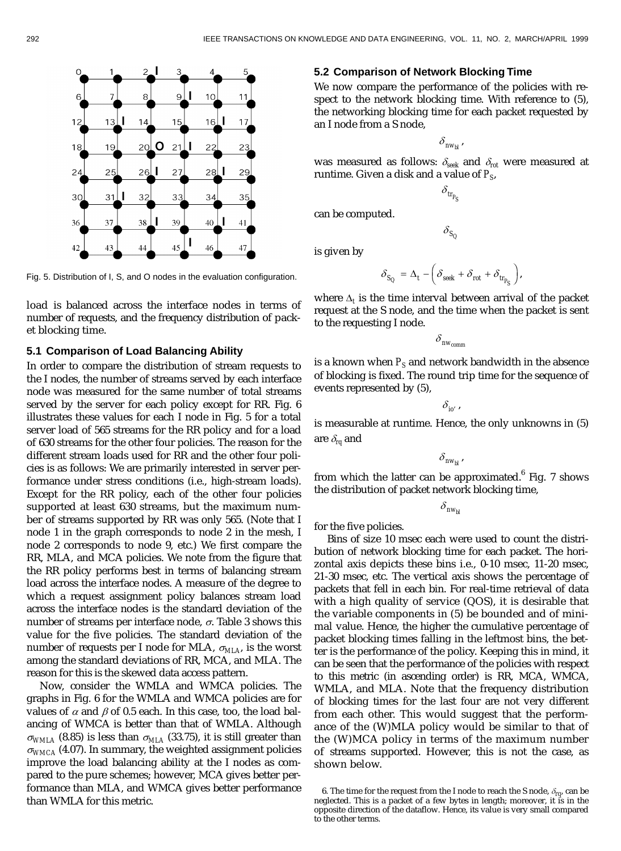

Fig. 5. Distribution of I, S, and O nodes in the evaluation configuration.

load is balanced across the interface nodes in terms of number of requests, and the frequency distribution of packet blocking time.

# **5.1 Comparison of Load Balancing Ability**

In order to compare the distribution of stream requests to the I nodes, the number of streams served by each interface node was measured for the same number of total streams served by the server for each policy except for RR. Fig. 6 illustrates these values for each I node in Fig. 5 for a total server load of 565 streams for the RR policy and for a load of 630 streams for the other four policies. The reason for the different stream loads used for RR and the other four policies is as follows: We are primarily interested in server performance under stress conditions (i.e., high-stream loads). Except for the RR policy, each of the other four policies supported at least 630 streams, but the maximum number of streams supported by RR was only 565. (Note that I node 1 in the graph corresponds to node 2 in the mesh, I node 2 corresponds to node 9, etc.) We first compare the RR, MLA, and MCA policies. We note from the figure that the RR policy performs best in terms of balancing stream load across the interface nodes. A measure of the degree to which a request assignment policy balances stream load across the interface nodes is the standard deviation of the number of streams per interface node,  $\sigma$ . Table 3 shows this value for the five policies. The standard deviation of the number of requests per I node for MLA,  $\sigma_{MLA}$ , is the worst among the standard deviations of RR, MCA, and MLA. The reason for this is the skewed data access pattern.

Now, consider the WMLA and WMCA policies. The graphs in Fig. 6 for the WMLA and WMCA policies are for values of  $\alpha$  and  $\beta$  of 0.5 each. In this case, too, the load balancing of WMCA is better than that of WMLA. Although  $\sigma_{WMA}$  (8.85) is less than  $\sigma_{MLA}$  (33.75), it is still greater than  $\sigma_{WMCA}$  (4.07). In summary, the weighted assignment policies improve the load balancing ability at the I nodes as compared to the pure schemes; however, MCA gives better performance than MLA, and WMCA gives better performance than WMLA for this metric.

#### **5.2 Comparison of Network Blocking Time**

We now compare the performance of the policies with respect to the network blocking time. With reference to (5), the networking blocking time for each packet requested by an I node from a S node,

 $\delta_{\mu_{W_{bl}}}$ 

was measured as follows:  $\delta_{\text{seek}}$  and  $\delta_{\text{rot}}$  were measured at runtime. Given a disk and a value of *PS*,

 $\delta_{tr_{P_S}}$ 

 $\delta_{\textit{S}_{\textit{Q}}}$ 

can be computed.

is given by

$$
\delta_{S_Q} = \Delta_t - \left(\delta_{\text{seek}} + \delta_{\text{rot}} + \delta_{\text{tr}_{P_S}}\right),
$$

where  $\Delta_t$  is the time interval between arrival of the packet request at the S node, and the time when the packet is sent to the requesting I node.

 $\delta_{\textit{nw}_{\textit{comm}}}$ 

is a known when  $P_S$  and network bandwidth in the absence of blocking is fixed. The round trip time for the sequence of events represented by (5),

 $\delta_{\scriptscriptstyle i\!o'}$  ,

is measurable at runtime. Hence, the only unknowns in (5) are  $\delta_{ra}$  and

 $\delta_{n w_{bl}}$ ,

from which the latter can be approximated. $^6$  Fig. 7 shows the distribution of packet network blocking time,

 $\delta_{n w_{bl}}$ 

for the five policies.

Bins of size 10 msec each were used to count the distribution of network blocking time for each packet. The horizontal axis depicts these bins i.e., 0-10 msec, 11-20 msec, 21-30 msec, etc. The vertical axis shows the percentage of packets that fell in each bin. For real-time retrieval of data with a high quality of service (QOS), it is desirable that the variable components in (5) be bounded and of minimal value. Hence, the higher the cumulative percentage of packet blocking times falling in the leftmost bins, the better is the performance of the policy. Keeping this in mind, it can be seen that the performance of the policies with respect to this metric (in ascending order) is RR, MCA, WMCA, WMLA, and MLA. Note that the frequency distribution of blocking times for the last four are not very different from each other. This would suggest that the performance of the (W)MLA policy would be similar to that of the (W)MCA policy in terms of the maximum number of streams supported. However, this is not the case, as shown below.

<sup>6.</sup> The time for the request from the I node to reach the S node,  $\delta_{rq}$ , can be neglected. This is a packet of a few bytes in length; moreover, it is in the opposite direction of the dataflow. Hence, its value is very small compared to the other terms.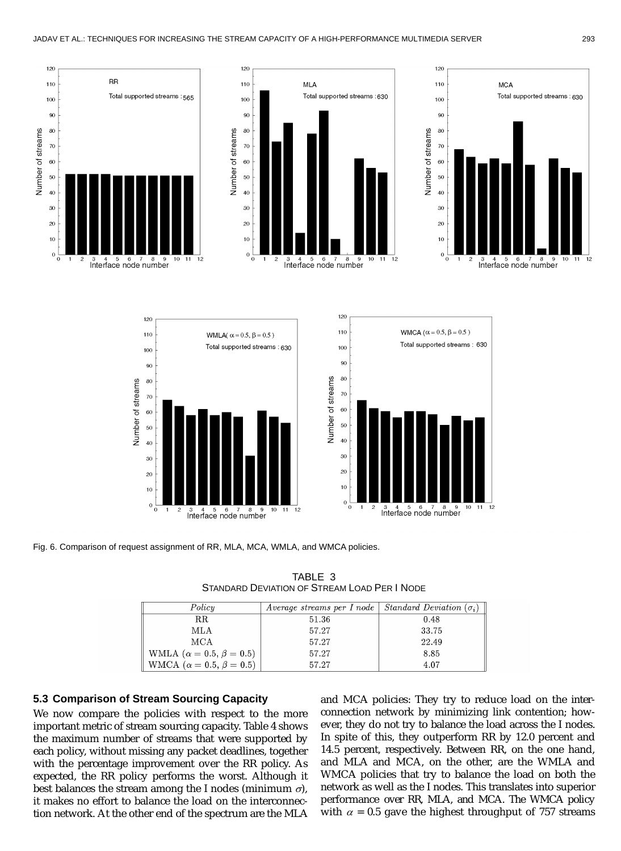



Fig. 6. Comparison of request assignment of RR, MLA, MCA, WMLA, and WMCA policies.

TABLE 3 STANDARD DEVIATION OF STREAM LOAD PER I NODE

| Policy                               | Average streams per I node   Standard Deviation $(\sigma_i)$ |       |
|--------------------------------------|--------------------------------------------------------------|-------|
| R.R.                                 | 51.36                                                        | 0.48  |
| MLA                                  | 57.27                                                        | 33.75 |
| MCA                                  | 57.27                                                        | 22.49 |
| WMLA ( $\alpha = 0.5, \beta = 0.5$ ) | 57.27                                                        | 8.85  |
| WMCA ( $\alpha = 0.5, \beta = 0.5$ ) | 57.27                                                        | 4.07  |

# **5.3 Comparison of Stream Sourcing Capacity**

We now compare the policies with respect to the more important metric of stream sourcing capacity. Table 4 shows the maximum number of streams that were supported by each policy, without missing any packet deadlines, together with the percentage improvement over the RR policy. As expected, the RR policy performs the worst. Although it best balances the stream among the I nodes (minimum  $\sigma$ ), it makes no effort to balance the load on the interconnection network. At the other end of the spectrum are the MLA and MCA policies: They try to reduce load on the interconnection network by minimizing link contention; however, they do not try to balance the load across the I nodes. In spite of this, they outperform RR by 12.0 percent and 14.5 percent, respectively. Between RR, on the one hand, and MLA and MCA, on the other, are the WMLA and WMCA policies that try to balance the load on both the network as well as the I nodes. This translates into superior performance over RR, MLA, and MCA. The WMCA policy with  $\alpha$  = 0.5 gave the highest throughput of 757 streams

 $12$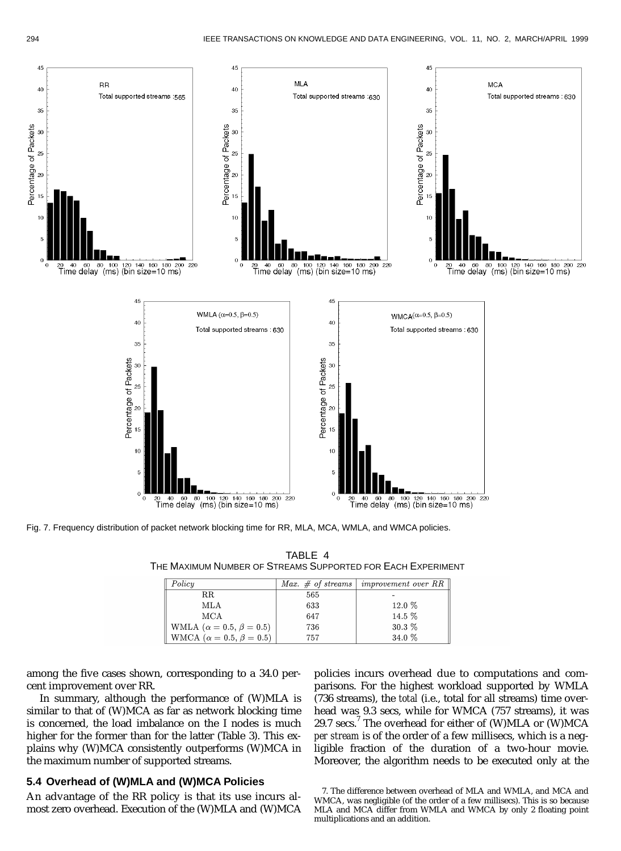

Fig. 7. Frequency distribution of packet network blocking time for RR, MLA, MCA, WMLA, and WMCA policies.

TABLE 4 THE MAXIMUM NUMBER OF STREAMS SUPPORTED FOR EACH EXPERIMENT

| Policy                               | Max. $\#$ of streams | <i>improvement over RR</i> |
|--------------------------------------|----------------------|----------------------------|
| RR.                                  | 565                  |                            |
| MLA                                  | 633                  | $12.0\%$                   |
| MCA                                  | 647                  | $14.5\%$                   |
| WMLA ( $\alpha = 0.5, \beta = 0.5$ ) | 736                  | $30.3\%$                   |
| WMCA ( $\alpha = 0.5, \beta = 0.5$ ) | 757                  | 34.0 %                     |

among the five cases shown, corresponding to a 34.0 percent improvement over RR.

In summary, although the performance of (W)MLA is similar to that of (W)MCA as far as network blocking time is concerned, the load imbalance on the I nodes is much higher for the former than for the latter (Table 3). This explains why (W)MCA consistently outperforms (W)MCA in the maximum number of supported streams.

# **5.4 Overhead of (W)MLA and (W)MCA Policies**

An advantage of the RR policy is that its use incurs almost zero overhead. Execution of the (W)MLA and (W)MCA policies incurs overhead due to computations and comparisons. For the highest workload supported by WMLA (736 streams), the *total* (i.e., total for all streams) time overhead was 9.3 secs, while for WMCA (757 streams), it was 29.7 secs.<sup>7</sup> The overhead for either of (W)MLA or (W)MCA *per stream* is of the order of a few millisecs, which is a negligible fraction of the duration of a two-hour movie. Moreover, the algorithm needs to be executed only at the

<sup>7.</sup> The difference between overhead of MLA and WMLA, and MCA and WMCA, was negligible (of the order of a few millisecs). This is so because MLA and MCA differ from WMLA and WMCA by only 2 floating point multiplications and an addition.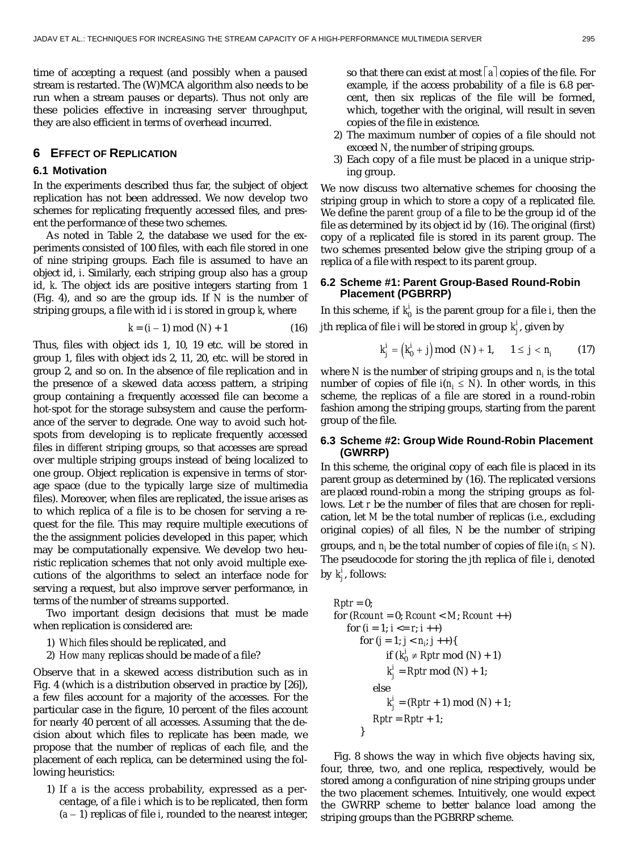time of accepting a request (and possibly when a paused stream is restarted. The (W)MCA algorithm also needs to be run when a stream pauses or departs). Thus not only are these policies effective in increasing server throughput, they are also efficient in terms of overhead incurred.

# **6 EFFECT OF REPLICATION**

# **6.1 Motivation**

In the experiments described thus far, the subject of object replication has not been addressed. We now develop two schemes for replicating frequently accessed files, and present the performance of these two schemes.

As noted in Table 2, the database we used for the experiments consisted of 100 files, with each file stored in one of nine striping groups. Each file is assumed to have an object id, *i*. Similarly, each striping group also has a group id, *k*. The object ids are positive integers starting from 1 (Fig. 4), and so are the group ids. If *N* is the number of striping groups, a file with id *i* is stored in group *k*, where

$$
k = (i - 1) \bmod (N) + 1 \tag{16}
$$

Thus, files with object ids 1, 10, 19 etc. will be stored in group 1, files with object ids 2, 11, 20, etc. will be stored in group 2, and so on. In the absence of file replication and in the presence of a skewed data access pattern, a striping group containing a frequently accessed file can become a hot-spot for the storage subsystem and cause the performance of the server to degrade. One way to avoid such hotspots from developing is to replicate frequently accessed files in *different* striping groups, so that accesses are spread over multiple striping groups instead of being localized to one group. Object replication is expensive in terms of storage space (due to the typically large size of multimedia files). Moreover, when files are replicated, the issue arises as to which replica of a file is to be chosen for serving a request for the file. This may require multiple executions of the the assignment policies developed in this paper, which may be computationally expensive. We develop two heuristic replication schemes that not only avoid multiple executions of the algorithms to select an interface node for serving a request, but also improve server performance, in terms of the number of streams supported.

Two important design decisions that must be made when replication is considered are:

- 1) *Which* files should be replicated, and
- 2) *How many* replicas should be made of a file?

Observe that in a skewed access distribution such as in Fig. 4 (which is a distribution observed in practice by [26]), a few files account for a majority of the accesses. For the particular case in the figure, 10 percent of the files account for nearly 40 percent of all accesses. Assuming that the decision about which files to replicate has been made, we propose that the number of replicas of each file, and the placement of each replica, can be determined using the following heuristics:

1) If *a* is the access probability, expressed as a percentage, of a file *i* which is to be replicated, then form (*a* - 1) replicas of file *i*, rounded to the nearest integer, so that there can exist at most  $|a|$  copies of the file. For example, if the access probability of a file is 6.8 percent, then six replicas of the file will be formed, which, together with the original, will result in seven copies of the file in existence.

- 2) The maximum number of copies of a file should not exceed *N*, the number of striping groups.
- 3) Each copy of a file must be placed in a unique striping group.

We now discuss two alternative schemes for choosing the striping group in which to store a copy of a replicated file. We define the *parent group* of a file to be the group id of the file as determined by its object id by (16). The original (first) copy of a replicated file is stored in its parent group. The two schemes presented below give the striping group of a replica of a file with respect to its parent group.

### **6.2 Scheme #1: Parent Group-Based Round-Robin Placement (PGBRRP)**

In this scheme, if  $k_0^i$  is the parent group for a file *i*, then the *j*th replica of file *i* will be stored in group  $k^i_j$ , given by

$$
k_j^i = (k_0^i + j) \mod (N) + 1, \quad 1 \le j < n_i \tag{17}
$$

where  $N$  is the number of striping groups and  $n_i$  is the total number of copies of file  $i(n_i \leq N)$ . In other words, in this scheme, the replicas of a file are stored in a round-robin fashion among the striping groups, starting from the parent group of the file.

# **6.3 Scheme #2: Group Wide Round-Robin Placement (GWRRP)**

In this scheme, the original copy of each file is placed in its parent group as determined by (16). The replicated versions are placed round-robin a mong the striping groups as follows. Let *r* be the number of files that are chosen for replication, let *M* be the total number of replicas (i.e., excluding original copies) of all files, *N* be the number of striping groups, and  $n_i$  be the total number of copies of file  $i(n_i \leq N)$ . The pseudocode for storing the *j*th replica of file *i*, denoted by  $k_j^i$ , follows:

*Rptr* = 0; for (*Rcount* = 0; *Rcount* < *M*; *Rcount* ++) for (*i* = 1; *i* <= *r*; *i* ++) for (*j* = 1; *j* < *ni* ; *j* ++){ if (*k<sup>i</sup>* <sup>0</sup> *Rptr* mod (*N*) + 1) *kj i* = *Rptr* mod (*N*) + 1; else *kj i* = (*Rptr* + 1) mod (*N*) + 1; *Rptr* = *Rptr* + 1; }

Fig. 8 shows the way in which five objects having six, four, three, two, and one replica, respectively, would be stored among a configuration of nine striping groups under the two placement schemes. Intuitively, one would expect the GWRRP scheme to better balance load among the striping groups than the PGBRRP scheme.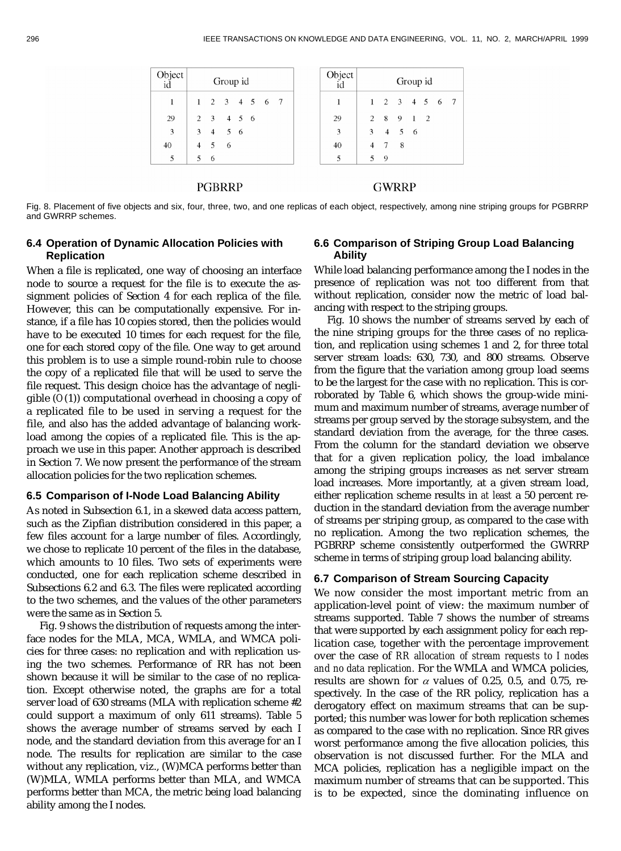| Object<br>id | Group id      |                     |           |  |  | Object<br>id |    |                |                | Group id      |  |  |
|--------------|---------------|---------------------|-----------|--|--|--------------|----|----------------|----------------|---------------|--|--|
| 1            | 1 2 3 4 5 6 7 |                     |           |  |  |              |    |                |                | 1 2 3 4 5 6 7 |  |  |
| 29           |               |                     | 2 3 4 5 6 |  |  |              | 29 |                |                | 2 8 9 1 2     |  |  |
| 3            | 3             |                     | 4 5 6     |  |  |              | 3  | 3              |                | 4 5 6         |  |  |
| 40           |               | $4 \quad 5 \quad 6$ |           |  |  |              | 40 | $\overline{4}$ | $\overline{7}$ | - 8           |  |  |
| 5            | 5             | - 6                 |           |  |  |              | 5  |                | $5 \quad 9$    |               |  |  |
|              |               |                     |           |  |  |              |    |                |                |               |  |  |

**PGBRRP** 

**GWRRP** 

Fig. 8. Placement of five objects and six, four, three, two, and one replicas of each object, respectively, among nine striping groups for PGBRRP and GWRRP schemes.

# **6.4 Operation of Dynamic Allocation Policies with Replication**

When a file is replicated, one way of choosing an interface node to source a request for the file is to execute the assignment policies of Section 4 for each replica of the file. However, this can be computationally expensive. For instance, if a file has 10 copies stored, then the policies would have to be executed 10 times for each request for the file, one for each stored copy of the file. One way to get around this problem is to use a simple round-robin rule to choose the copy of a replicated file that will be used to serve the file request. This design choice has the advantage of negligible (*O*(1)) computational overhead in choosing a copy of a replicated file to be used in serving a request for the file, and also has the added advantage of balancing workload among the copies of a replicated file. This is the approach we use in this paper. Another approach is described in Section 7. We now present the performance of the stream allocation policies for the two replication schemes.

#### **6.5 Comparison of I-Node Load Balancing Ability**

As noted in Subsection 6.1, in a skewed data access pattern, such as the Zipfian distribution considered in this paper, a few files account for a large number of files. Accordingly, we chose to replicate 10 percent of the files in the database, which amounts to 10 files. Two sets of experiments were conducted, one for each replication scheme described in Subsections 6.2 and 6.3. The files were replicated according to the two schemes, and the values of the other parameters were the same as in Section 5.

Fig. 9 shows the distribution of requests among the interface nodes for the MLA, MCA, WMLA, and WMCA policies for three cases: no replication and with replication using the two schemes. Performance of RR has not been shown because it will be similar to the case of no replication. Except otherwise noted, the graphs are for a total server load of 630 streams (MLA with replication scheme #2 could support a maximum of only 611 streams). Table 5 shows the average number of streams served by each I node, and the standard deviation from this average for an I node. The results for replication are similar to the case without any replication, viz., (W)MCA performs better than (W)MLA, WMLA performs better than MLA, and WMCA performs better than MCA, the metric being load balancing ability among the I nodes.

#### **6.6 Comparison of Striping Group Load Balancing Ability**

While load balancing performance among the I nodes in the presence of replication was not too different from that without replication, consider now the metric of load balancing with respect to the striping groups.

Fig. 10 shows the number of streams served by each of the nine striping groups for the three cases of no replication, and replication using schemes 1 and 2, for three total server stream loads: 630, 730, and 800 streams. Observe from the figure that the variation among group load seems to be the largest for the case with no replication. This is corroborated by Table 6, which shows the group-wide minimum and maximum number of streams, average number of streams per group served by the storage subsystem, and the standard deviation from the average, for the three cases. From the column for the standard deviation we observe that for a given replication policy, the load imbalance among the striping groups increases as net server stream load increases. More importantly, at a given stream load, either replication scheme results in *at least* a 50 percent reduction in the standard deviation from the average number of streams per striping group, as compared to the case with no replication. Among the two replication schemes, the PGBRRP scheme consistently outperformed the GWRRP scheme in terms of striping group load balancing ability.

#### **6.7 Comparison of Stream Sourcing Capacity**

We now consider the most important metric from an application-level point of view: the maximum number of streams supported. Table 7 shows the number of streams that were supported by each assignment policy for each replication case, together with the percentage improvement over the case of *RR allocation of stream requests to I nodes and no data replication.* For the WMLA and WMCA policies, results are shown for  $\alpha$  values of 0.25, 0.5, and 0.75, respectively. In the case of the RR policy, replication has a derogatory effect on maximum streams that can be supported; this number was lower for both replication schemes as compared to the case with no replication. Since RR gives worst performance among the five allocation policies, this observation is not discussed further. For the MLA and MCA policies, replication has a negligible impact on the maximum number of streams that can be supported. This is to be expected, since the dominating influence on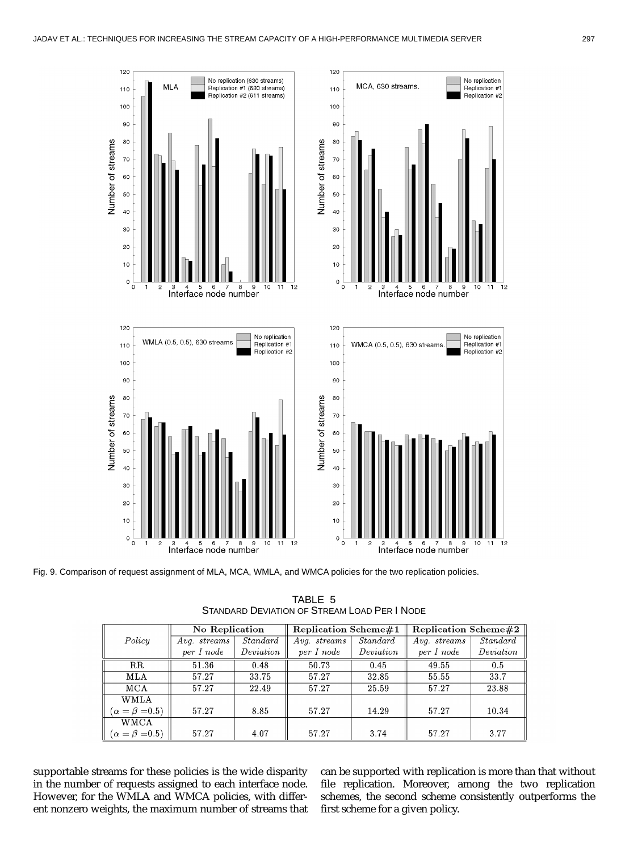

Fig. 9. Comparison of request assignment of MLA, MCA, WMLA, and WMCA policies for the two replication policies.

|                          | No Replication |           | Replication Scheme#1 |           | Replication Scheme#2 |           |  |  |
|--------------------------|----------------|-----------|----------------------|-----------|----------------------|-----------|--|--|
| Policy                   | Avg. streams   | Standard  | Avg. streams         | Standard  | Avq. streams         | Standard  |  |  |
|                          | per I node     | Deviation | per I node           | Deviation | per I node           | Deviation |  |  |
| RR.                      | 51.36          | 0.48      | 50.73                | 0.45      | 49.55                | 0.5       |  |  |
| MLA                      | 57.27          | 33.75     | 57.27                | 32.85     | 55.55                | 33.7      |  |  |
| <b>MCA</b>               | 57.27          | 22.49     | 57.27                | 25.59     | 57.27                | 23.88     |  |  |
| WMLA                     |                |           |                      |           |                      |           |  |  |
| $(\alpha = \beta = 0.5)$ | 57.27          | 8.85      | 57.27                | 14.29     | 57.27                | 10.34     |  |  |
| <b>WMCA</b>              |                |           |                      |           |                      |           |  |  |
| $(\alpha = \beta = 0.5)$ | 57.27          | 4.07      | 57.27                | 3.74      | 57.27                | 3.77      |  |  |

TABLE 5 STANDARD DEVIATION OF STREAM LOAD PER I NODE

supportable streams for these policies is the wide disparity in the number of requests assigned to each interface node. However, for the WMLA and WMCA policies, with different nonzero weights, the maximum number of streams that can be supported with replication is more than that without file replication. Moreover, among the two replication schemes, the second scheme consistently outperforms the first scheme for a given policy.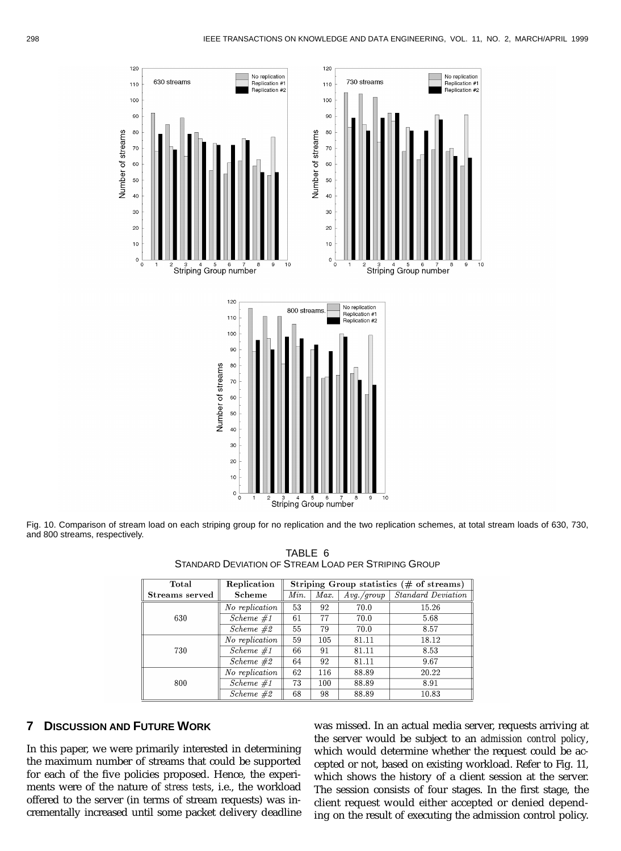

Fig. 10. Comparison of stream load on each striping group for no replication and the two replication schemes, at total stream loads of 630, 730, and 800 streams, respectively.

| Total          | Replication    | Striping Group statistics $(\# \text{ of streams})$ |      |            |                           |  |  |  |
|----------------|----------------|-----------------------------------------------------|------|------------|---------------------------|--|--|--|
| Streams served | Scheme         | Min.                                                | Max. | Avg./group | <b>Standard Deviation</b> |  |  |  |
|                | No replication | 53                                                  | 92   | 70.0       | 15.26                     |  |  |  |
| 630            | Scheme $#1$    | 61                                                  | 77   | 70.0       | 5.68                      |  |  |  |
|                | $Scheme \#2$   | 55                                                  | 79   | 70.0       | 8.57                      |  |  |  |
|                | No replication | 59                                                  | 105  | 81.11      | 18.12                     |  |  |  |
| 730            | Scheme $#1$    | 66                                                  | 91   | 81.11      | 8.53                      |  |  |  |
|                | $Scheme \#2$   | 64                                                  | 92   | 81.11      | 9.67                      |  |  |  |
|                | No replication | 62                                                  | 116  | 88.89      | 20.22                     |  |  |  |
| 800            | Scheme $#1$    | 73                                                  | 100  | 88.89      | 8.91                      |  |  |  |
|                | $Scheme \#2$   | 68                                                  | 98   | 88.89      | 10.83                     |  |  |  |

TABLE 6 STANDARD DEVIATION OF STREAM LOAD PER STRIPING GROUP

# **7 DISCUSSION AND FUTURE WORK**

In this paper, we were primarily interested in determining the maximum number of streams that could be supported for each of the five policies proposed. Hence, the experiments were of the nature of *stress tests*, i.e., the workload offered to the server (in terms of stream requests) was incrementally increased until some packet delivery deadline

was missed. In an actual media server, requests arriving at the server would be subject to an *admission control policy*, which would determine whether the request could be accepted or not, based on existing workload. Refer to Fig. 11, which shows the history of a client session at the server. The session consists of four stages. In the first stage, the client request would either accepted or denied depending on the result of executing the admission control policy.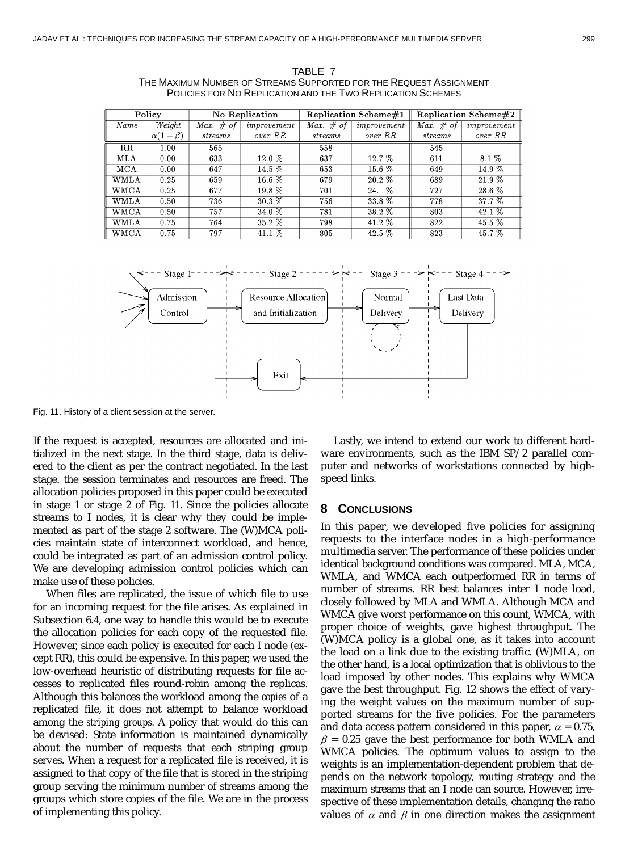| Policy       |                           |              | No Replication |              | Replication Scheme#1 | Replication Scheme#2 |             |  |
|--------------|---------------------------|--------------|----------------|--------------|----------------------|----------------------|-------------|--|
| Name         | Weight                    | Max. $\#$ of | improvement    | Max. $\#$ of | improvement          | Max. $\#$ of         | improvement |  |
|              | $-\beta$ )<br>$\alpha(1)$ | streams      | over RR        | stress       | over RR              | streams              | over RR     |  |
| $_{\rm RR}$  | 1.00                      | 565          |                | 558          |                      | 545                  |             |  |
| MLA          | 0.00                      | 633          | 12.0%          | 637          | 12.7%                | 611                  | $8.1\%$     |  |
| MCA          | 0.00                      | 647          | 14.5 %         | 653          | 15.6 %               | 649                  | 14.9 %      |  |
| WMLA         | 0.25                      | 659          | 16.6 %         | 679          | $20.2 \%$            | 689                  | 21.9%       |  |
| WMCA         | 0.25                      | 677          | 19.8 %         | 701          | 24.1%                | 727                  | 28.6 %      |  |
| WMLA         | 0.50                      | 736          | $30.3\%$       | 756          | 33.8%                | 778                  | 37.7 %      |  |
| <b>WMCA</b>  | 0.50                      | 757          | 34.0 %         | 781          | 38.2 %               | 803                  | 42.1 %      |  |
| WMLA         | 0.75                      | 764          | 35.2%          | 798          | 41.2%                | 822                  | 45.5 %      |  |
| <b>WIMCA</b> | 0.75                      | 707          | 4110           | 905          | 1950                 | 992                  | 45702       |  |

TABLE 7 THE MAXIMUM NUMBER OF STREAMS SUPPORTED FOR THE REQUEST ASSIGNMENT POLICIES FOR NO REPLICATION AND THE TWO REPLICATION SCHEMES



Fig. 11. History of a client session at the server.

If the request is accepted, resources are allocated and initialized in the next stage. In the third stage, data is delivered to the client as per the contract negotiated. In the last stage. the session terminates and resources are freed. The allocation policies proposed in this paper could be executed in stage 1 or stage 2 of Fig. 11. Since the policies allocate streams to I nodes, it is clear why they could be implemented as part of the stage 2 software. The (W)MCA policies maintain state of interconnect workload, and hence, could be integrated as part of an admission control policy. We are developing admission control policies which can make use of these policies.

When files are replicated, the issue of which file to use for an incoming request for the file arises. As explained in Subsection 6.4, one way to handle this would be to execute the allocation policies for each copy of the requested file. However, since each policy is executed for each I node (except RR), this could be expensive. In this paper, we used the low-overhead heuristic of distributing requests for file accesses to replicated files round-robin among the replicas. Although this balances the workload among the *copies* of a replicated file, it does not attempt to balance workload among the *striping groups.* A policy that would do this can be devised: State information is maintained dynamically about the number of requests that each striping group serves. When a request for a replicated file is received, it is assigned to that copy of the file that is stored in the striping group serving the minimum number of streams among the groups which store copies of the file. We are in the process of implementing this policy.

Lastly, we intend to extend our work to different hardware environments, such as the IBM SP/2 parallel computer and networks of workstations connected by highspeed links.

# **8 CONCLUSIONS**

In this paper, we developed five policies for assigning requests to the interface nodes in a high-performance multimedia server. The performance of these policies under identical background conditions was compared. MLA, MCA, WMLA, and WMCA each outperformed RR in terms of number of streams. RR best balances inter I node load, closely followed by MLA and WMLA. Although MCA and WMCA give worst performance on this count, WMCA, with proper choice of weights, gave highest throughput. The (W)MCA policy is a global one, as it takes into account the load on a link due to the existing traffic. (W)MLA, on the other hand, is a local optimization that is oblivious to the load imposed by other nodes. This explains why WMCA gave the best throughput. Fig. 12 shows the effect of varying the weight values on the maximum number of supported streams for the five policies. For the parameters and data access pattern considered in this paper,  $\alpha = 0.75$ ,  $\beta$  = 0.25 gave the best performance for both WMLA and WMCA policies. The optimum values to assign to the weights is an implementation-dependent problem that depends on the network topology, routing strategy and the maximum streams that an I node can source. However, irrespective of these implementation details, changing the ratio values of  $\alpha$  and  $\beta$  in one direction makes the assignment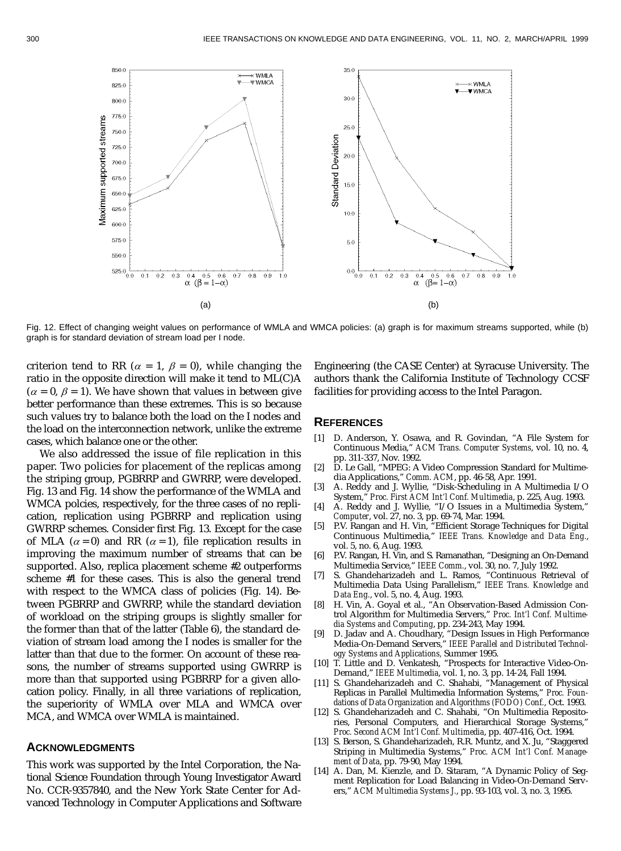Fig. 12. Effect of changing weight values on performance of WMLA and WMCA policies: (a) graph is for maximum streams supported, while (b) graph is for standard deviation of stream load per I node.

criterion tend to RR ( $\alpha = 1$ ,  $\beta = 0$ ), while changing the ratio in the opposite direction will make it tend to ML(C)A ( $\alpha = 0$ ,  $\beta = 1$ ). We have shown that values in between give better performance than these extremes. This is so because such values try to balance both the load on the I nodes and the load on the interconnection network, unlike the extreme cases, which balance one or the other.

We also addressed the issue of file replication in this paper. Two policies for placement of the replicas among the striping group, PGBRRP and GWRRP, were developed. Fig. 13 and Fig. 14 show the performance of the WMLA and WMCA polcies, respectively, for the three cases of no replication, replication using PGBRRP and replication using GWRRP schemes. Consider first Fig. 13. Except for the case of MLA ( $\alpha = 0$ ) and RR ( $\alpha = 1$ ), file replication results in improving the maximum number of streams that can be supported. Also, replica placement scheme #2 outperforms scheme #1 for these cases. This is also the general trend with respect to the WMCA class of policies (Fig. 14). Between PGBRRP and GWRRP, while the standard deviation of workload on the striping groups is slightly smaller for the former than that of the latter (Table 6), the standard deviation of stream load among the I nodes is smaller for the latter than that due to the former. On account of these reasons, the number of streams supported using GWRRP is more than that supported using PGBRRP for a given allocation policy. Finally, in all three variations of replication, the superiority of WMLA over MLA and WMCA over MCA, and WMCA over WMLA is maintained.

#### **ACKNOWLEDGMENTS**

This work was supported by the Intel Corporation, the National Science Foundation through Young Investigator Award No. CCR-9357840, and the New York State Center for Advanced Technology in Computer Applications and Software

Engineering (the CASE Center) at Syracuse University. The authors thank the California Institute of Technology CCSF facilities for providing access to the Intel Paragon.

#### **REFERENCES**

- [1] D. Anderson, Y. Osawa, and R. Govindan, "A File System for Continuous Media," *ACM Trans. Computer Systems*, vol. 10, no. 4, pp. 311-337, Nov. 1992.
- [2] D. Le Gall, "MPEG: A Video Compression Standard for Multimedia Applications," *Comm. ACM*, pp. 46-58, Apr. 1991.
- [3] A. Reddy and J. Wyllie, "Disk-Scheduling in A Multimedia I/O System," *Proc. First ACM Int'l Conf. Multimedia*, p. 225, Aug. 1993.
- [4] A. Reddy and J. Wyllie, "I/O Issues in a Multimedia System," *Computer*, vol. 27, no. 3, pp. 69-74, Mar. 1994.
- [5] P.V. Rangan and H. Vin, "Efficient Storage Techniques for Digital Continuous Multimedia," *IEEE Trans. Knowledge and Data Eng.*, vol. 5, no. 6, Aug. 1993.
- [6] P.V. Rangan, H. Vin, and S. Ramanathan, "Designing an On-Demand Multimedia Service," *IEEE Comm.*, vol. 30, no. 7, July 1992.
- [7] S. Ghandeharizadeh and L. Ramos, "Continuous Retrieval of Multimedia Data Using Parallelism," *IEEE Trans. Knowledge and Data Eng.*, vol. 5, no. 4, Aug. 1993.
- [8] H. Vin, A. Goyal et al., "An Observation-Based Admission Control Algorithm for Multimedia Servers," *Proc. Int'l Conf. Multimedia Systems and Computing*, pp. 234-243, May 1994.
- [9] D. Jadav and A. Choudhary, "Design Issues in High Performance Media-On-Demand Servers," *IEEE Parallel and Distributed Technology Systems and Applications,* Summer 1995.
- [10] T. Little and D. Venkatesh, "Prospects for Interactive Video-On-Demand," *IEEE Multimedia*, vol. 1, no. 3, pp. 14-24, Fall 1994.
- [11] S. Ghandeharizadeh and C. Shahabi, "Management of Physical Replicas in Parallel Multimedia Information Systems," *Proc. Foundations of Data Organization and Algorithms (FODO) Conf.*, Oct. 1993.
- [12] S. Ghandeharizadeh and C. Shahabi, "On Multimedia Repositories, Personal Computers, and Hierarchical Storage Systems," *Proc. Second ACM Int'l Conf. Multimedia*, pp. 407-416, Oct. 1994.
- [13] S. Berson, S. Ghandeharizadeh, R.R. Muntz, and X. Ju, "Staggered Striping in Multimedia Systems," *Proc. ACM Int'l Conf. Management of Data*, pp. 79-90, May 1994.
- [14] A. Dan, M. Kienzle, and D. Sitaram, "A Dynamic Policy of Segment Replication for Load Balancing in Video-On-Demand Servers," *ACM Multimedia Systems J.*, pp. 93-103, vol. 3, no. 3, 1995.

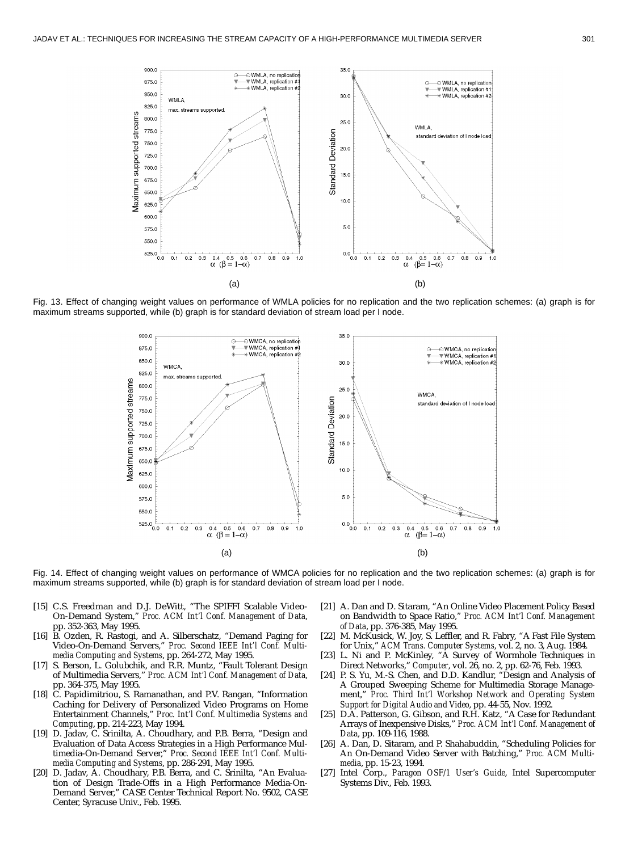

Fig. 13. Effect of changing weight values on performance of WMLA policies for no replication and the two replication schemes: (a) graph is for maximum streams supported, while (b) graph is for standard deviation of stream load per I node.



Fig. 14. Effect of changing weight values on performance of WMCA policies for no replication and the two replication schemes: (a) graph is for maximum streams supported, while (b) graph is for standard deviation of stream load per I node.

- [15] C.S. Freedman and D.J. DeWitt, "The SPIFFI Scalable Video-On-Demand System," *Proc. ACM Int'l Conf. Management of Data*, pp. 352-363, May 1995.
- [16] B. Ozden, R. Rastogi, and A. Silberschatz, "Demand Paging for Video-On-Demand Servers," *Proc. Second IEEE Int'l Conf. Multimedia Computing and Systems*, pp. 264-272, May 1995.
- [17] S. Berson, L. Golubchik, and R.R. Muntz, "Fault Tolerant Design of Multimedia Servers," *Proc. ACM Int'l Conf. Management of Data*, pp. 364-375, May 1995.
- [18] C. Papidimitriou, S. Ramanathan, and P.V. Rangan, "Information Caching for Delivery of Personalized Video Programs on Home Entertainment Channels," *Proc. Int'l Conf. Multimedia Systems and Computing*, pp. 214-223, May 1994.
- [19] D. Jadav, C. Srinilta, A. Choudhary, and P.B. Berra, "Design and Evaluation of Data Access Strategies in a High Performance Multimedia-On-Demand Server," *Proc. Second IEEE Int'l Conf. Multimedia Computing and Systems*, pp. 286-291, May 1995.
- [20] D. Jadav, A. Choudhary, P.B. Berra, and C. Srinilta, "An Evaluation of Design Trade-Offs in a High Performance Media-On-Demand Server," CASE Center Technical Report No. 9502, CASE Center, Syracuse Univ., Feb. 1995.
- [21] A. Dan and D. Sitaram, "An Online Video Placement Policy Based on Bandwidth to Space Ratio," *Proc. ACM Int'l Conf. Management of Data*, pp. 376-385, May 1995.
- [22] M. McKusick, W. Joy, S. Leffler, and R. Fabry, "A Fast File System for Unix," *ACM Trans. Computer Systems*, vol. 2, no. 3, Aug. 1984.
- [23] L. Ni and P. McKinley, "A Survey of Wormhole Techniques in Direct Networks," *Computer*, vol. 26, no. 2, pp. 62-76, Feb. 1993.
- [24] P. S. Yu, M.-S. Chen, and D.D. Kandlur, "Design and Analysis of A Grouped Sweeping Scheme for Multimedia Storage Management," *Proc. Third Int'l Workshop Network and Operating System Support for Digital Audio and Video*, pp. 44-55, Nov. 1992.
- [25] D.A. Patterson, G. Gibson, and R.H. Katz, "A Case for Redundant Arrays of Inexpensive Disks," *Proc. ACM Int'l Conf. Management of Data*, pp. 109-116, 1988.
- [26] A. Dan, D. Sitaram, and P. Shahabuddin, "Scheduling Policies for An On-Demand Video Server with Batching," *Proc. ACM Multimedia*, pp. 15-23, 1994.
- [27] Intel Corp., *Paragon OSF/1 User's Guide*, Intel Supercomputer Systems Div., Feb. 1993.